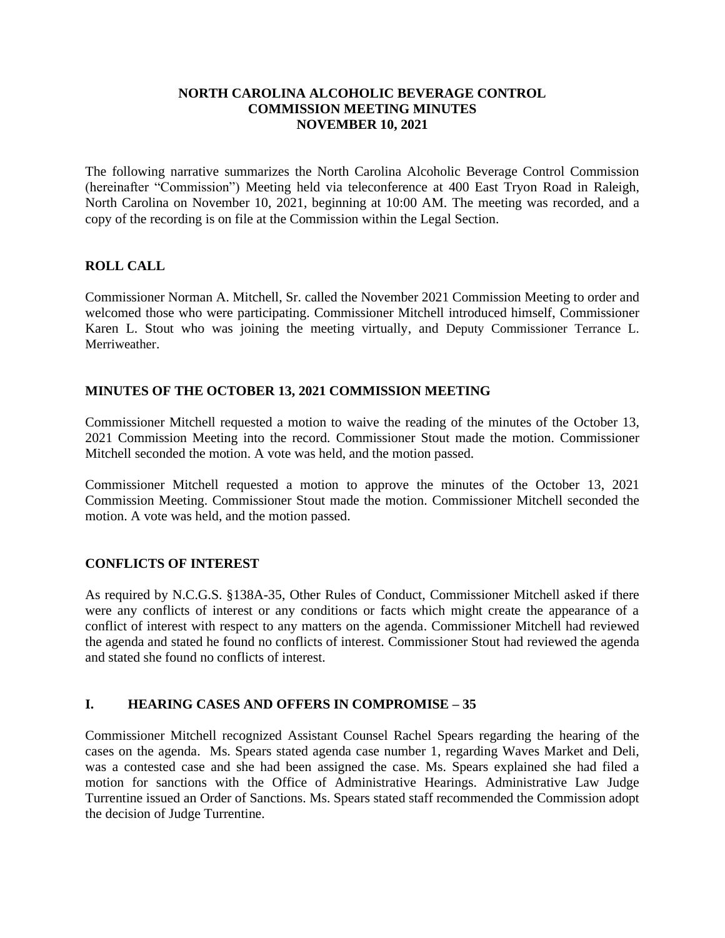#### **NORTH CAROLINA ALCOHOLIC BEVERAGE CONTROL COMMISSION MEETING MINUTES NOVEMBER 10, 2021**

The following narrative summarizes the North Carolina Alcoholic Beverage Control Commission (hereinafter "Commission") Meeting held via teleconference at 400 East Tryon Road in Raleigh, North Carolina on November 10, 2021, beginning at 10:00 AM. The meeting was recorded, and a copy of the recording is on file at the Commission within the Legal Section.

### **ROLL CALL**

Commissioner Norman A. Mitchell, Sr. called the November 2021 Commission Meeting to order and welcomed those who were participating. Commissioner Mitchell introduced himself, Commissioner Karen L. Stout who was joining the meeting virtually, and Deputy Commissioner Terrance L. **Merriweather** 

# **MINUTES OF THE OCTOBER 13, 2021 COMMISSION MEETING**

Commissioner Mitchell requested a motion to waive the reading of the minutes of the October 13, 2021 Commission Meeting into the record. Commissioner Stout made the motion. Commissioner Mitchell seconded the motion. A vote was held, and the motion passed.

Commissioner Mitchell requested a motion to approve the minutes of the October 13, 2021 Commission Meeting. Commissioner Stout made the motion. Commissioner Mitchell seconded the motion. A vote was held, and the motion passed.

### **CONFLICTS OF INTEREST**

As required by N.C.G.S. §138A-35, Other Rules of Conduct, Commissioner Mitchell asked if there were any conflicts of interest or any conditions or facts which might create the appearance of a conflict of interest with respect to any matters on the agenda. Commissioner Mitchell had reviewed the agenda and stated he found no conflicts of interest. Commissioner Stout had reviewed the agenda and stated she found no conflicts of interest.

### **I. HEARING CASES AND OFFERS IN COMPROMISE – 35**

Commissioner Mitchell recognized Assistant Counsel Rachel Spears regarding the hearing of the cases on the agenda. Ms. Spears stated agenda case number 1, regarding Waves Market and Deli, was a contested case and she had been assigned the case. Ms. Spears explained she had filed a motion for sanctions with the Office of Administrative Hearings. Administrative Law Judge Turrentine issued an Order of Sanctions. Ms. Spears stated staff recommended the Commission adopt the decision of Judge Turrentine.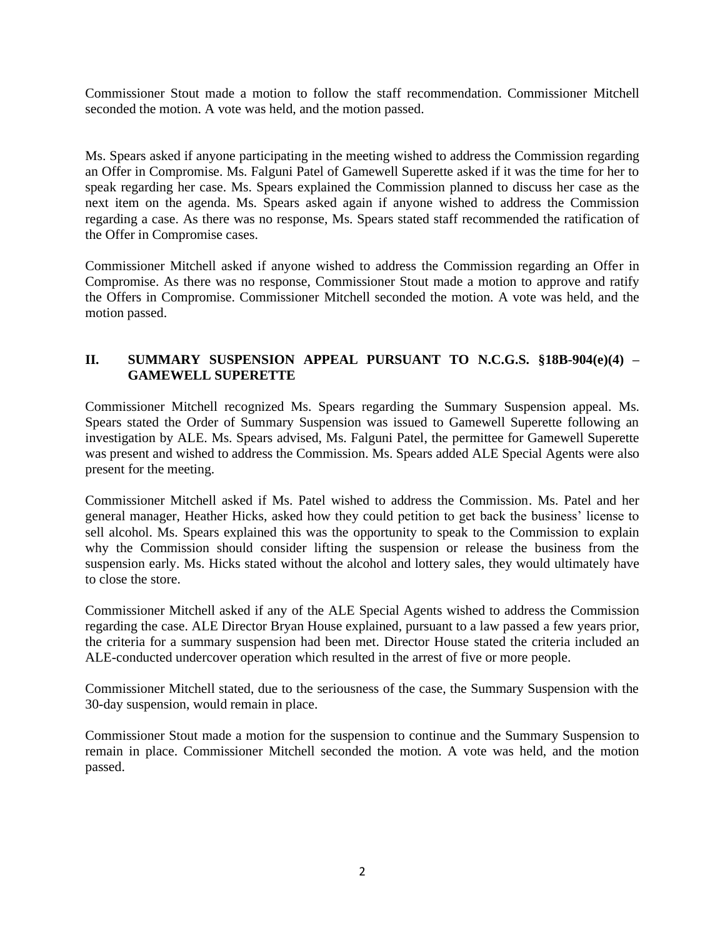Commissioner Stout made a motion to follow the staff recommendation. Commissioner Mitchell seconded the motion. A vote was held, and the motion passed.

Ms. Spears asked if anyone participating in the meeting wished to address the Commission regarding an Offer in Compromise. Ms. Falguni Patel of Gamewell Superette asked if it was the time for her to speak regarding her case. Ms. Spears explained the Commission planned to discuss her case as the next item on the agenda. Ms. Spears asked again if anyone wished to address the Commission regarding a case. As there was no response, Ms. Spears stated staff recommended the ratification of the Offer in Compromise cases.

Commissioner Mitchell asked if anyone wished to address the Commission regarding an Offer in Compromise. As there was no response, Commissioner Stout made a motion to approve and ratify the Offers in Compromise. Commissioner Mitchell seconded the motion. A vote was held, and the motion passed.

# **II. SUMMARY SUSPENSION APPEAL PURSUANT TO N.C.G.S. §18B-904(e)(4) – GAMEWELL SUPERETTE**

Commissioner Mitchell recognized Ms. Spears regarding the Summary Suspension appeal. Ms. Spears stated the Order of Summary Suspension was issued to Gamewell Superette following an investigation by ALE. Ms. Spears advised, Ms. Falguni Patel, the permittee for Gamewell Superette was present and wished to address the Commission. Ms. Spears added ALE Special Agents were also present for the meeting.

Commissioner Mitchell asked if Ms. Patel wished to address the Commission. Ms. Patel and her general manager, Heather Hicks, asked how they could petition to get back the business' license to sell alcohol. Ms. Spears explained this was the opportunity to speak to the Commission to explain why the Commission should consider lifting the suspension or release the business from the suspension early. Ms. Hicks stated without the alcohol and lottery sales, they would ultimately have to close the store.

Commissioner Mitchell asked if any of the ALE Special Agents wished to address the Commission regarding the case. ALE Director Bryan House explained, pursuant to a law passed a few years prior, the criteria for a summary suspension had been met. Director House stated the criteria included an ALE-conducted undercover operation which resulted in the arrest of five or more people.

Commissioner Mitchell stated, due to the seriousness of the case, the Summary Suspension with the 30-day suspension, would remain in place.

Commissioner Stout made a motion for the suspension to continue and the Summary Suspension to remain in place. Commissioner Mitchell seconded the motion. A vote was held, and the motion passed.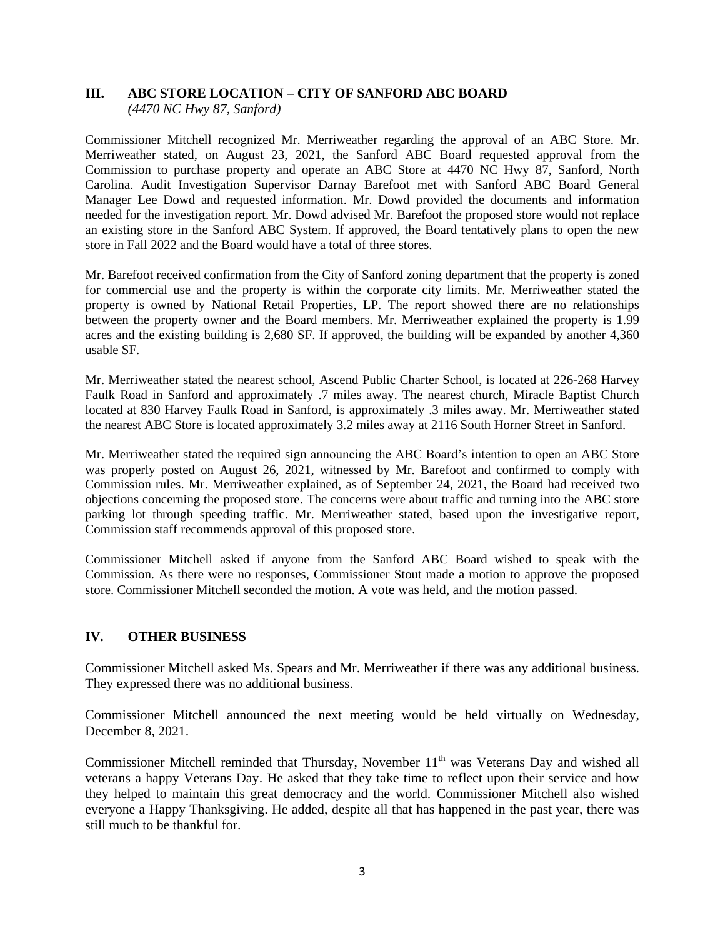### **III. ABC STORE LOCATION – CITY OF SANFORD ABC BOARD**

*(4470 NC Hwy 87, Sanford)*

Commissioner Mitchell recognized Mr. Merriweather regarding the approval of an ABC Store. Mr. Merriweather stated, on August 23, 2021, the Sanford ABC Board requested approval from the Commission to purchase property and operate an ABC Store at 4470 NC Hwy 87, Sanford, North Carolina. Audit Investigation Supervisor Darnay Barefoot met with Sanford ABC Board General Manager Lee Dowd and requested information. Mr. Dowd provided the documents and information needed for the investigation report. Mr. Dowd advised Mr. Barefoot the proposed store would not replace an existing store in the Sanford ABC System. If approved, the Board tentatively plans to open the new store in Fall 2022 and the Board would have a total of three stores.

Mr. Barefoot received confirmation from the City of Sanford zoning department that the property is zoned for commercial use and the property is within the corporate city limits. Mr. Merriweather stated the property is owned by National Retail Properties, LP. The report showed there are no relationships between the property owner and the Board members. Mr. Merriweather explained the property is 1.99 acres and the existing building is 2,680 SF. If approved, the building will be expanded by another 4,360 usable SF.

Mr. Merriweather stated the nearest school, Ascend Public Charter School, is located at 226-268 Harvey Faulk Road in Sanford and approximately .7 miles away. The nearest church, Miracle Baptist Church located at 830 Harvey Faulk Road in Sanford, is approximately .3 miles away. Mr. Merriweather stated the nearest ABC Store is located approximately 3.2 miles away at 2116 South Horner Street in Sanford.

Mr. Merriweather stated the required sign announcing the ABC Board's intention to open an ABC Store was properly posted on August 26, 2021, witnessed by Mr. Barefoot and confirmed to comply with Commission rules. Mr. Merriweather explained, as of September 24, 2021, the Board had received two objections concerning the proposed store. The concerns were about traffic and turning into the ABC store parking lot through speeding traffic. Mr. Merriweather stated, based upon the investigative report, Commission staff recommends approval of this proposed store.

Commissioner Mitchell asked if anyone from the Sanford ABC Board wished to speak with the Commission. As there were no responses, Commissioner Stout made a motion to approve the proposed store. Commissioner Mitchell seconded the motion. A vote was held, and the motion passed.

### **IV. OTHER BUSINESS**

Commissioner Mitchell asked Ms. Spears and Mr. Merriweather if there was any additional business. They expressed there was no additional business.

Commissioner Mitchell announced the next meeting would be held virtually on Wednesday, December 8, 2021.

Commissioner Mitchell reminded that Thursday, November 11<sup>th</sup> was Veterans Day and wished all veterans a happy Veterans Day. He asked that they take time to reflect upon their service and how they helped to maintain this great democracy and the world. Commissioner Mitchell also wished everyone a Happy Thanksgiving. He added, despite all that has happened in the past year, there was still much to be thankful for.